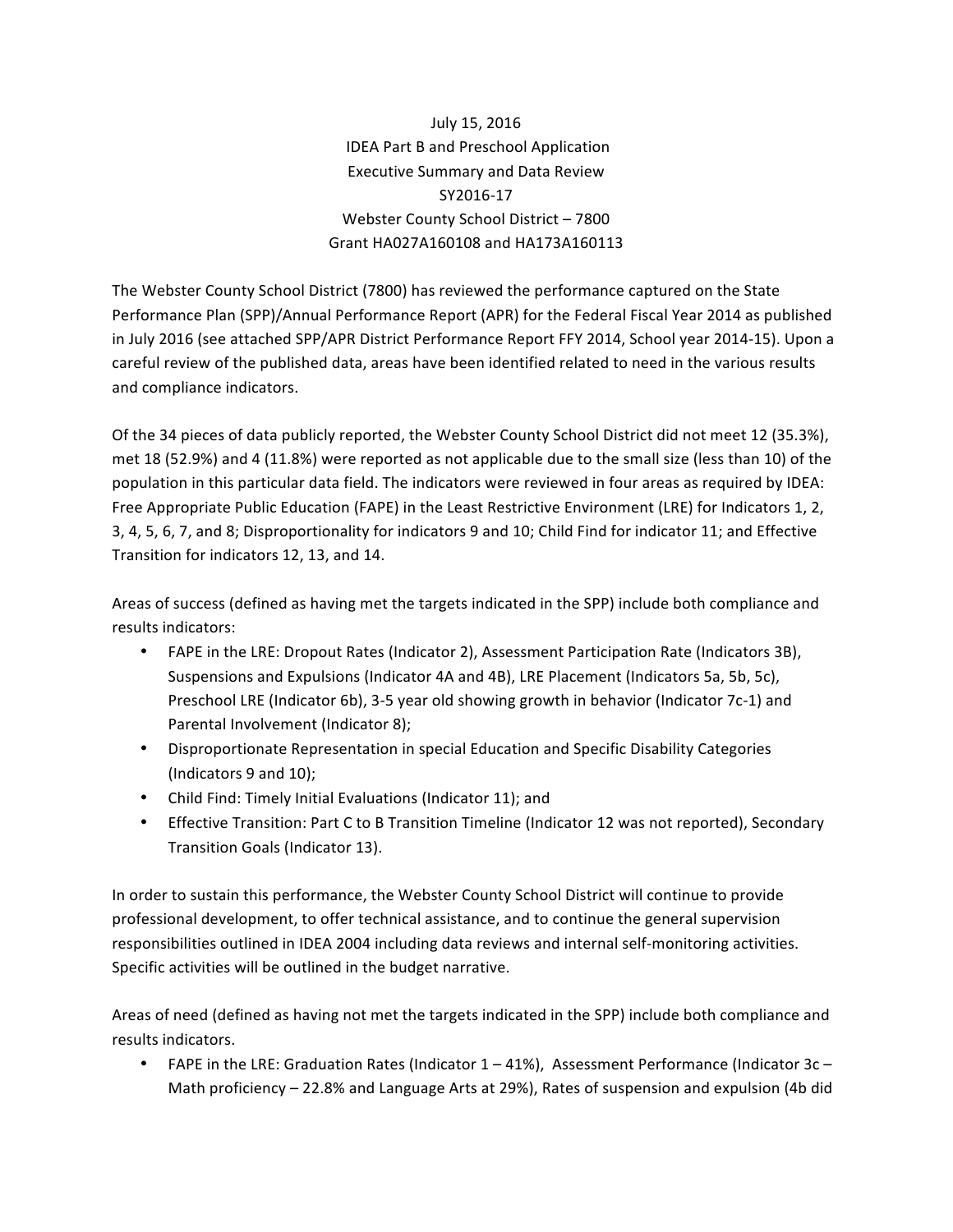July 15, 2016 IDEA Part B and Preschool Application Executive Summary and Data Review SY2016-17 Webster County School District - 7800 Grant HA027A160108 and HA173A160113

The Webster County School District (7800) has reviewed the performance captured on the State Performance Plan (SPP)/Annual Performance Report (APR) for the Federal Fiscal Year 2014 as published in July 2016 (see attached SPP/APR District Performance Report FFY 2014, School year 2014-15). Upon a careful review of the published data, areas have been identified related to need in the various results and compliance indicators.

Of the 34 pieces of data publicly reported, the Webster County School District did not meet 12 (35.3%), met 18 (52.9%) and 4 (11.8%) were reported as not applicable due to the small size (less than 10) of the population in this particular data field. The indicators were reviewed in four areas as required by IDEA: Free Appropriate Public Education (FAPE) in the Least Restrictive Environment (LRE) for Indicators 1, 2, 3, 4, 5, 6, 7, and 8; Disproportionality for indicators 9 and 10; Child Find for indicator 11; and Effective Transition for indicators 12, 13, and 14.

Areas of success (defined as having met the targets indicated in the SPP) include both compliance and results indicators:

- FAPE in the LRE: Dropout Rates (Indicator 2), Assessment Participation Rate (Indicators 3B), Suspensions and Expulsions (Indicator 4A and 4B), LRE Placement (Indicators 5a, 5b, 5c), Preschool LRE (Indicator 6b), 3-5 year old showing growth in behavior (Indicator 7c-1) and Parental Involvement (Indicator 8);
- Disproportionate Representation in special Education and Specific Disability Categories (Indicators 9 and 10);
- Child Find: Timely Initial Evaluations (Indicator 11); and
- Effective Transition: Part C to B Transition Timeline (Indicator 12 was not reported), Secondary Transition Goals (Indicator 13).

In order to sustain this performance, the Webster County School District will continue to provide professional development, to offer technical assistance, and to continue the general supervision responsibilities outlined in IDEA 2004 including data reviews and internal self-monitoring activities. Specific activities will be outlined in the budget narrative.

Areas of need (defined as having not met the targets indicated in the SPP) include both compliance and results indicators.

• FAPE in the LRE: Graduation Rates (Indicator  $1 - 41\%$ ), Assessment Performance (Indicator  $3c -$ Math proficiency  $-$  22.8% and Language Arts at 29%), Rates of suspension and expulsion (4b did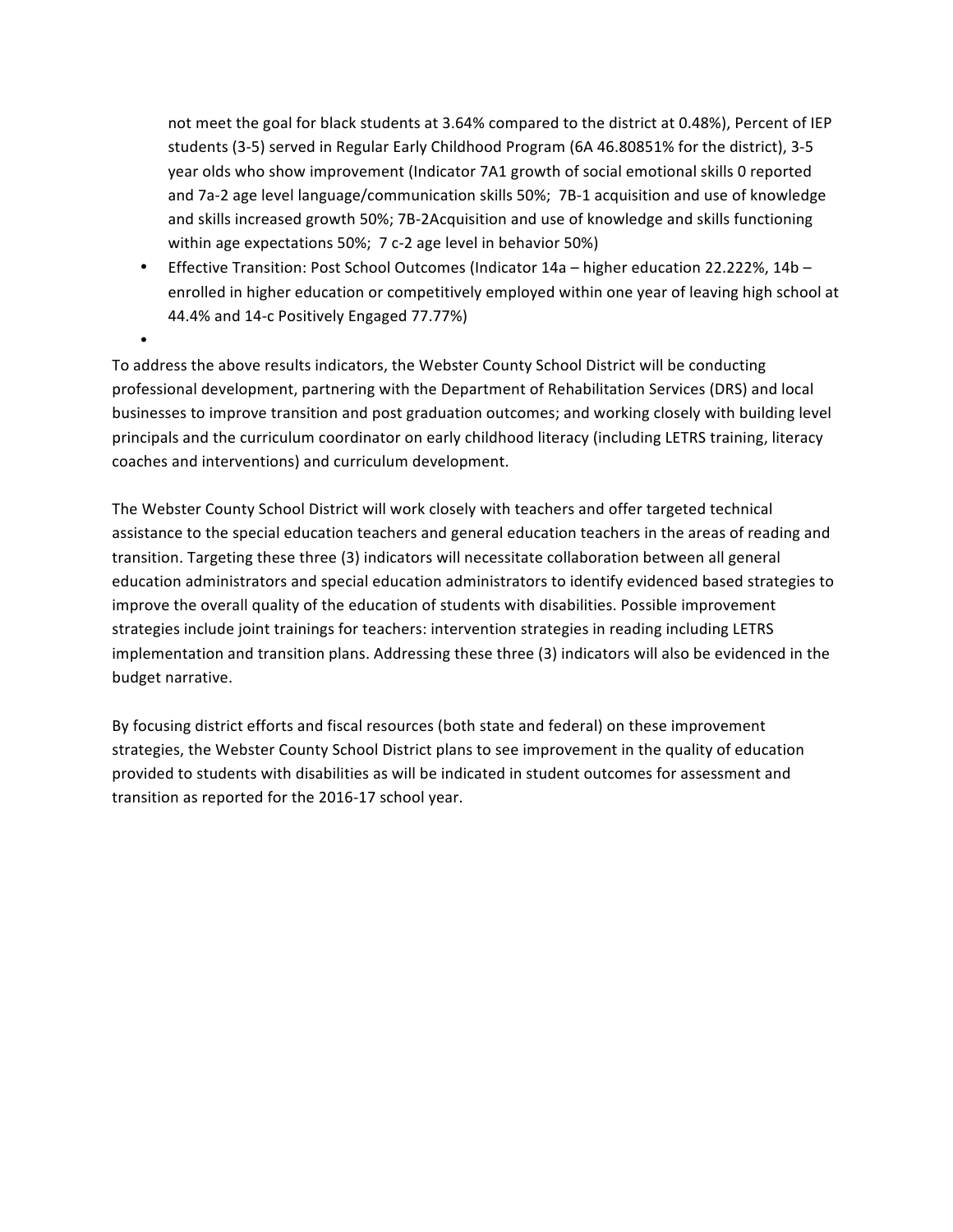not meet the goal for black students at 3.64% compared to the district at 0.48%), Percent of IEP students (3-5) served in Regular Early Childhood Program (6A 46.80851% for the district), 3-5 year olds who show improvement (Indicator 7A1 growth of social emotional skills 0 reported and 7a-2 age level language/communication skills 50%; 7B-1 acquisition and use of knowledge and skills increased growth 50%; 7B-2Acquisition and use of knowledge and skills functioning within age expectations 50%; 7 c-2 age level in behavior 50%)

• Effective Transition: Post School Outcomes (Indicator  $14a -$  higher education 22.222%,  $14b$ enrolled in higher education or competitively employed within one year of leaving high school at 44.4% and 14-c Positively Engaged 77.77%)

To address the above results indicators, the Webster County School District will be conducting professional development, partnering with the Department of Rehabilitation Services (DRS) and local businesses to improve transition and post graduation outcomes; and working closely with building level principals and the curriculum coordinator on early childhood literacy (including LETRS training, literacy coaches and interventions) and curriculum development.

•

The Webster County School District will work closely with teachers and offer targeted technical assistance to the special education teachers and general education teachers in the areas of reading and transition. Targeting these three (3) indicators will necessitate collaboration between all general education administrators and special education administrators to identify evidenced based strategies to improve the overall quality of the education of students with disabilities. Possible improvement strategies include joint trainings for teachers: intervention strategies in reading including LETRS implementation and transition plans. Addressing these three (3) indicators will also be evidenced in the budget narrative.

By focusing district efforts and fiscal resources (both state and federal) on these improvement strategies, the Webster County School District plans to see improvement in the quality of education provided to students with disabilities as will be indicated in student outcomes for assessment and transition as reported for the 2016-17 school year.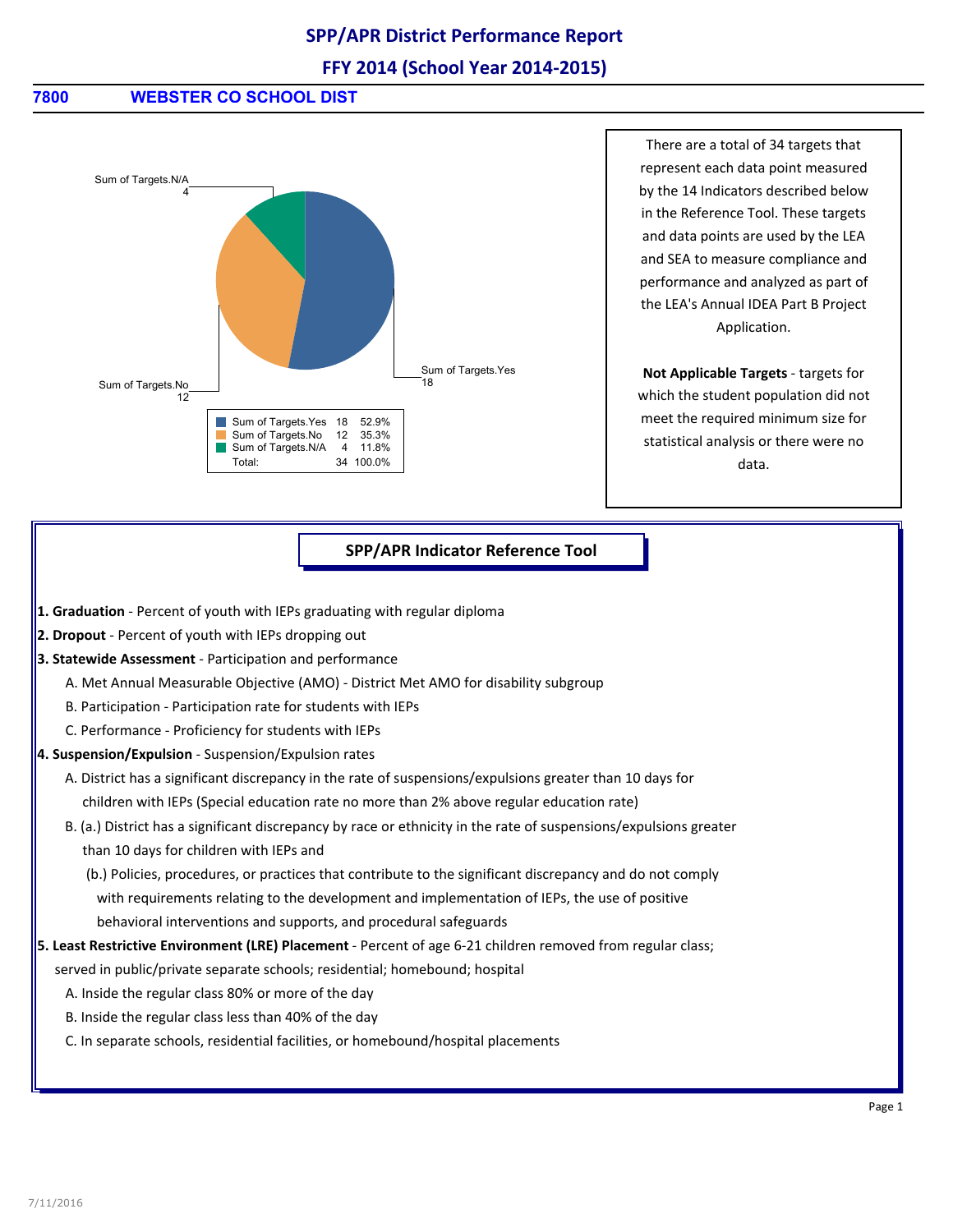# **SPP/APR District Performance Report**

### **FFY 2014 (School Year 2014-2015)**

### **7800 WEBSTER CO SCHOOL DIST**



There are a total of 34 targets that represent each data point measured by the 14 Indicators described below in the Reference Tool. These targets and data points are used by the LEA and SEA to measure compliance and performance and analyzed as part of the LEA's Annual IDEA Part B Project Application.

**Not Applicable Targets** - targets for which the student population did not meet the required minimum size for statistical analysis or there were no data.

#### **SPP/APR Indicator Reference Tool**

- **1. Graduation** Percent of youth with IEPs graduating with regular diploma
- **2. Dropout** Percent of youth with IEPs dropping out
- **3. Statewide Assessment** Participation and performance
	- A. Met Annual Measurable Objective (AMO) District Met AMO for disability subgroup
	- B. Participation Participation rate for students with IEPs
	- C. Performance Proficiency for students with IEPs
- **4. Suspension/Expulsion** Suspension/Expulsion rates
	- A. District has a significant discrepancy in the rate of suspensions/expulsions greater than 10 days for children with IEPs (Special education rate no more than 2% above regular education rate)
	- B. (a.) District has a significant discrepancy by race or ethnicity in the rate of suspensions/expulsions greater than 10 days for children with IEPs and
		- (b.) Policies, procedures, or practices that contribute to the significant discrepancy and do not comply with requirements relating to the development and implementation of IEPs, the use of positive behavioral interventions and supports, and procedural safeguards
- **5. Least Restrictive Environment (LRE) Placement** Percent of age 6-21 children removed from regular class;
	- served in public/private separate schools; residential; homebound; hospital
		- A. Inside the regular class 80% or more of the day
		- B. Inside the regular class less than 40% of the day
		- C. In separate schools, residential facilities, or homebound/hospital placements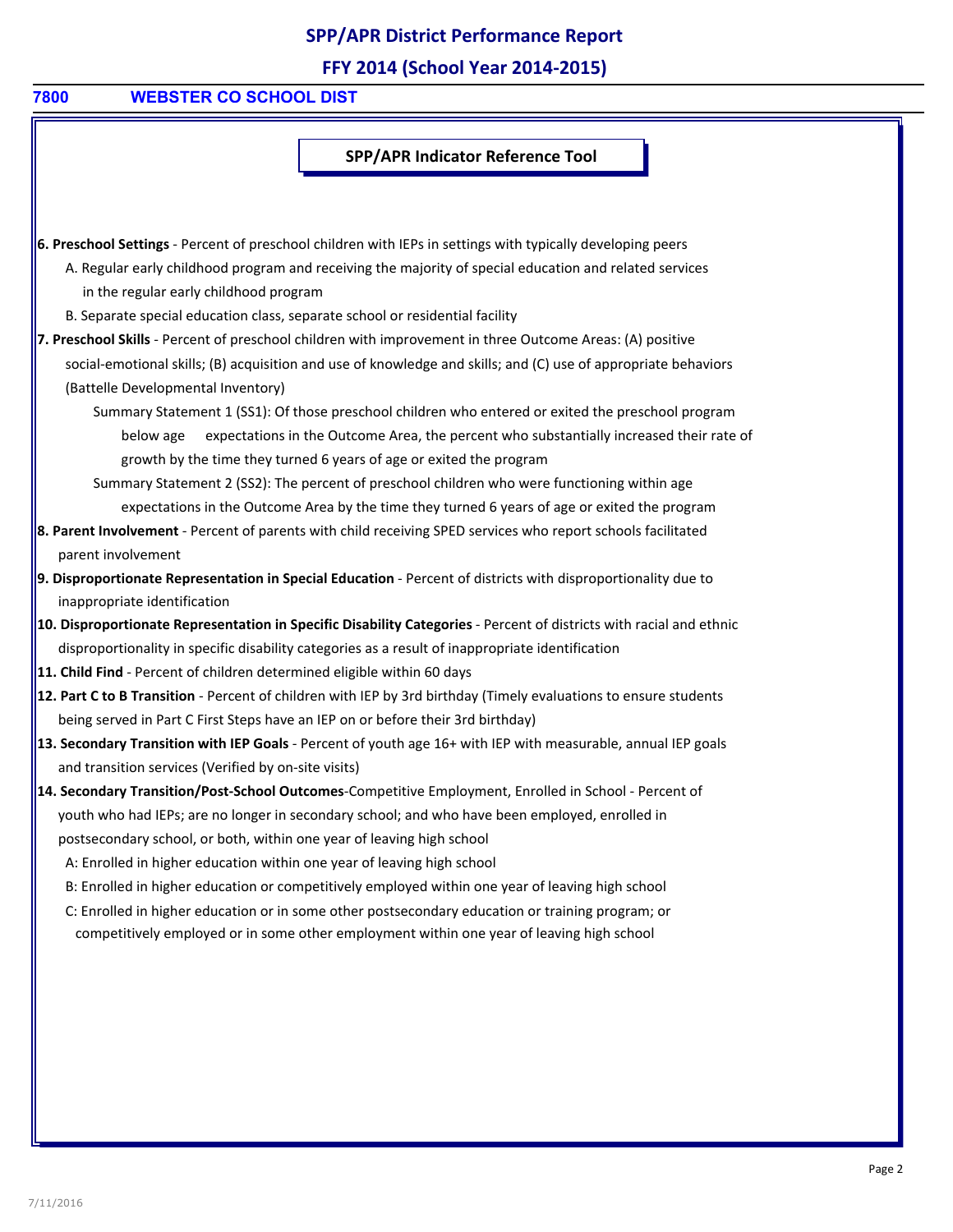# **SPP/APR District Performance Report**

**FFY 2014 (School Year 2014-2015)**

### **7800 WEBSTER CO SCHOOL DIST**

**SPP/APR Indicator Reference Tool**

**6. Preschool Settings** - Percent of preschool children with IEPs in settings with typically developing peers A. Regular early childhood program and receiving the majority of special education and related services in the regular early childhood program

B. Separate special education class, separate school or residential facility

**7. Preschool Skills** - Percent of preschool children with improvement in three Outcome Areas: (A) positive social-emotional skills; (B) acquisition and use of knowledge and skills; and (C) use of appropriate behaviors (Battelle Developmental Inventory)

Summary Statement 1 (SS1): Of those preschool children who entered or exited the preschool program below age expectations in the Outcome Area, the percent who substantially increased their rate of growth by the time they turned 6 years of age or exited the program

Summary Statement 2 (SS2): The percent of preschool children who were functioning within age expectations in the Outcome Area by the time they turned 6 years of age or exited the program

- **8. Parent Involvement**  Percent of parents with child receiving SPED services who report schools facilitated parent involvement
- **9. Disproportionate Representation in Special Education** Percent of districts with disproportionality due to inappropriate identification
- **10. Disproportionate Representation in Specific Disability Categories** Percent of districts with racial and ethnic disproportionality in specific disability categories as a result of inappropriate identification
- **11. Child Find** Percent of children determined eligible within 60 days
- **12. Part C to B Transition** Percent of children with IEP by 3rd birthday (Timely evaluations to ensure students being served in Part C First Steps have an IEP on or before their 3rd birthday)
- **13. Secondary Transition with IEP Goals** Percent of youth age 16+ with IEP with measurable, annual IEP goals and transition services (Verified by on-site visits)
- **14. Secondary Transition/Post-School Outcomes**-Competitive Employment, Enrolled in School Percent of youth who had IEPs; are no longer in secondary school; and who have been employed, enrolled in postsecondary school, or both, within one year of leaving high school

A: Enrolled in higher education within one year of leaving high school

- B: Enrolled in higher education or competitively employed within one year of leaving high school
- C: Enrolled in higher education or in some other postsecondary education or training program; or

competitively employed or in some other employment within one year of leaving high school